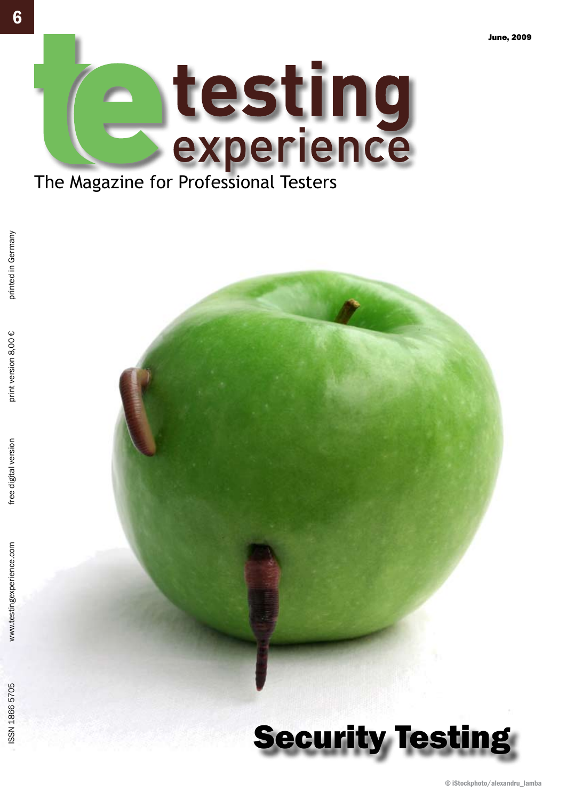

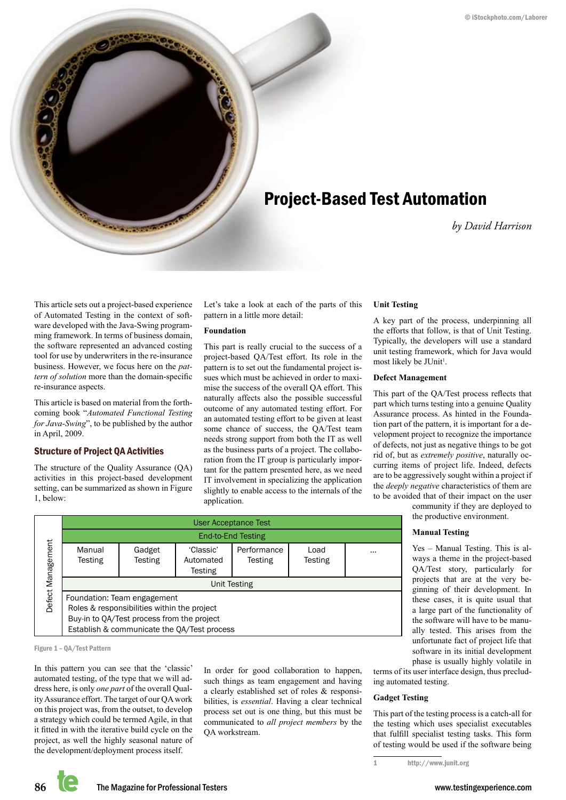

## Project-Based Test Automation

*by David Harrison*

This article sets out a project-based experience of Automated Testing in the context of software developed with the Java-Swing programming framework. In terms of business domain, the software represented an advanced costing tool for use by underwriters in the re-insurance business. However, we focus here on the *pattern of solution* more than the domain-specific re-insurance aspects.

This article is based on material from the forthcoming book "*Automated Functional Testing for Java-Swing*", to be published by the author in April, 2009.

#### Structure of Project QA Activities

The structure of the Quality Assurance (QA) activities in this project-based development setting, can be summarized as shown in Figure 1, below:

Let's take a look at each of the parts of this pattern in a little more detail:

#### **Foundation**

This part is really crucial to the success of a project-based QA/Test effort. Its role in the pattern is to set out the fundamental project issues which must be achieved in order to maximise the success of the overall QA effort. This naturally affects also the possible successful outcome of any automated testing effort. For an automated testing effort to be given at least some chance of success, the QA/Test team needs strong support from both the IT as well as the business parts of a project. The collaboration from the IT group is particularly important for the pattern presented here, as we need IT involvement in specializing the application slightly to enable access to the internals of the application.

#### **Unit Testing**

A key part of the process, underpinning all the efforts that follow, is that of Unit Testing. Typically, the developers will use a standard unit testing framework, which for Java would most likely be JUnit<sup>1</sup>.

#### **Defect Management**

This part of the QA/Test process reflects that part which turns testing into a genuine Quality Assurance process. As hinted in the Foundation part of the pattern, it is important for a development project to recognize the importance of defects, not just as negative things to be got rid of, but as *extremely positive*, naturally occurring items of project life. Indeed, defects are to be aggressively sought within a project if the *deeply negative* characteristics of them are to be avoided that of their impact on the user

> community if they are deployed to the productive environment.

#### **Manual Testing**

Yes – Manual Testing. This is always a theme in the project-based QA/Test story, particularly for projects that are at the very beginning of their development. In these cases, it is quite usual that a large part of the functionality of the software will have to be manually tested. This arises from the unfortunate fact of project life that software in its initial development phase is usually highly volatile in

terms of its user interface design, thus precluding automated testing.

#### **Gadget Testing**

This part of the testing process is a catch-all for the testing which uses specialist executables that fulfill specialist testing tasks. This form of testing would be used if the software being

User Acceptance Test End-to-End Testing Manual **Testing Gadget Testing** 'Classic' Automated **Testing** Performance **Testing** Load **Testing** ... Unit Testing Foundation: Team engagement Roles & responsibilities within the project Buy-in to QA/Test process from the project Establish & communicate the QA/Test process Fracting<br>Figure 1 – Manual<br>Examples & respectively<br>Buy-in to QA<br>Establish &<br>Figure 1 – QA/Test Pattern

In this pattern you can see that the 'classic' automated testing, of the type that we will address here, is only *one part* of the overall Quality Assurance effort. The target of our QA work on this project was, from the outset, to develop a strategy which could be termed Agile, in that it fitted in with the iterative build cycle on the project, as well the highly seasonal nature of the development/deployment process itself.

In order for good collaboration to happen, such things as team engagement and having a clearly established set of roles & responsibilities, is *essential*. Having a clear technical process set out is one thing, but this must be communicated to *all project members* by the QA workstream.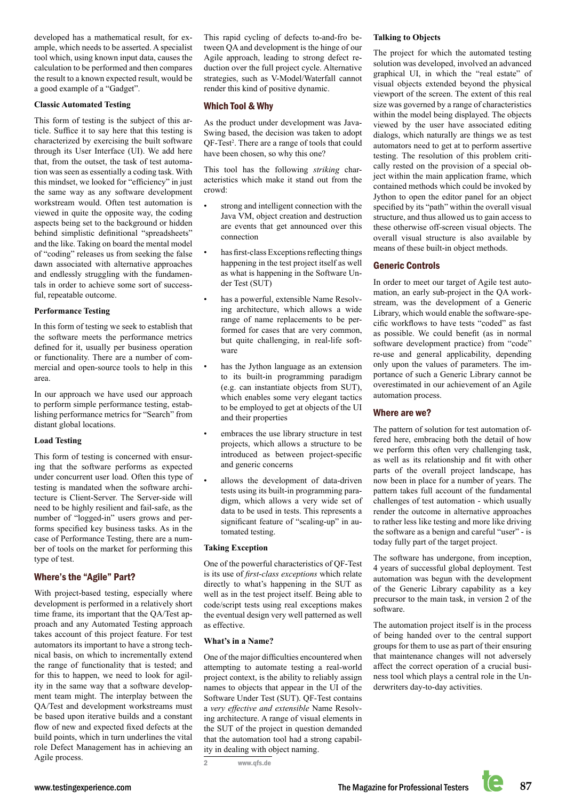developed has a mathematical result, for example, which needs to be asserted. A specialist tool which, using known input data, causes the calculation to be performed and then compares the result to a known expected result, would be a good example of a "Gadget".

#### **Classic Automated Testing**

This form of testing is the subject of this article. Suffice it to say here that this testing is characterized by exercising the built software through its User Interface (UI). We add here that, from the outset, the task of test automation was seen as essentially a coding task. With this mindset, we looked for "efficiency" in just the same way as any software development workstream would. Often test automation is viewed in quite the opposite way, the coding aspects being set to the background or hidden behind simplistic definitional "spreadsheets" and the like. Taking on board the mental model of "coding" releases us from seeking the false dawn associated with alternative approaches and endlessly struggling with the fundamentals in order to achieve some sort of successful, repeatable outcome.

#### **Performance Testing**

In this form of testing we seek to establish that the software meets the performance metrics defined for it, usually per business operation or functionality. There are a number of commercial and open-source tools to help in this area.

In our approach we have used our approach to perform simple performance testing, establishing performance metrics for "Search" from distant global locations.

#### **Load Testing**

This form of testing is concerned with ensuring that the software performs as expected under concurrent user load. Often this type of testing is mandated when the software architecture is Client-Server. The Server-side will need to be highly resilient and fail-safe, as the number of "logged-in" users grows and performs specified key business tasks. As in the case of Performance Testing, there are a number of tools on the market for performing this type of test.

#### Where's the "Agile" Part?

With project-based testing, especially where development is performed in a relatively short time frame, its important that the QA/Test approach and any Automated Testing approach takes account of this project feature. For test automators its important to have a strong technical basis, on which to incrementally extend the range of functionality that is tested; and for this to happen, we need to look for agility in the same way that a software development team might. The interplay between the QA/Test and development workstreams must be based upon iterative builds and a constant flow of new and expected fixed defects at the build points, which in turn underlines the vital role Defect Management has in achieving an Agile process.

This rapid cycling of defects to-and-fro between QA and development is the hinge of our Agile approach, leading to strong defect reduction over the full project cycle. Alternative strategies, such as V-Model/Waterfall cannot render this kind of positive dynamic.

#### Which Tool & Why

As the product under development was Java-Swing based, the decision was taken to adopt QF-Test<sup>2</sup>. There are a range of tools that could have been chosen, so why this one?

This tool has the following *striking* characteristics which make it stand out from the crowd:

- strong and intelligent connection with the Java VM, object creation and destruction are events that get announced over this connection
- has first-class Exceptions reflecting things happening in the test project itself as well as what is happening in the Software Under Test (SUT)
- has a powerful, extensible Name Resolving architecture, which allows a wide range of name replacements to be performed for cases that are very common, but quite challenging, in real-life software
- has the Jython language as an extension to its built-in programming paradigm (e.g. can instantiate objects from SUT), which enables some very elegant tactics to be employed to get at objects of the UI and their properties
- embraces the use library structure in test projects, which allows a structure to be introduced as between project-specific and generic concerns
- allows the development of data-driven tests using its built-in programming paradigm, which allows a very wide set of data to be used in tests. This represents a significant feature of "scaling-up" in automated testing.

#### **Taking Exception**

One of the powerful characteristics of QF-Test is its use of *first-class exceptions* which relate directly to what's happening in the SUT as well as in the test project itself. Being able to code/script tests using real exceptions makes the eventual design very well patterned as well as effective.

#### **What's in a Name?**

One of the major difficulties encountered when attempting to automate testing a real-world project context, is the ability to reliably assign names to objects that appear in the UI of the Software Under Test (SUT). QF-Test contains a *very effective and extensible* Name Resolving architecture. A range of visual elements in the SUT of the project in question demanded that the automation tool had a strong capability in dealing with object naming.

2 www.qfs.de

#### **Talking to Objects**

The project for which the automated testing solution was developed, involved an advanced graphical UI, in which the "real estate" of visual objects extended beyond the physical viewport of the screen. The extent of this real size was governed by a range of characteristics within the model being displayed. The objects viewed by the user have associated editing dialogs, which naturally are things we as test automators need to get at to perform assertive testing. The resolution of this problem critically rested on the provision of a special object within the main application frame, which contained methods which could be invoked by Jython to open the editor panel for an object specified by its "path" within the overall visual structure, and thus allowed us to gain access to these otherwise off-screen visual objects. The overall visual structure is also available by means of these built-in object methods.

#### Generic Controls

In order to meet our target of Agile test automation, an early sub-project in the QA workstream, was the development of a Generic Library, which would enable the software-specific workflows to have tests "coded" as fast as possible. We could benefit (as in normal software development practice) from "code" re-use and general applicability, depending only upon the values of parameters. The importance of such a Generic Library cannot be overestimated in our achievement of an Agile automation process.

#### Where are we?

The pattern of solution for test automation offered here, embracing both the detail of how we perform this often very challenging task, as well as its relationship and fit with other parts of the overall project landscape, has now been in place for a number of years. The pattern takes full account of the fundamental challenges of test automation - which usually render the outcome in alternative approaches to rather less like testing and more like driving the software as a benign and careful "user" - is today fully part of the target project.

The software has undergone, from inception, 4 years of successful global deployment. Test automation was begun with the development of the Generic Library capability as a key precursor to the main task, in version 2 of the software.

The automation project itself is in the process of being handed over to the central support groups for them to use as part of their ensuring that maintenance changes will not adversely affect the correct operation of a crucial business tool which plays a central role in the Underwriters day-to-day activities.